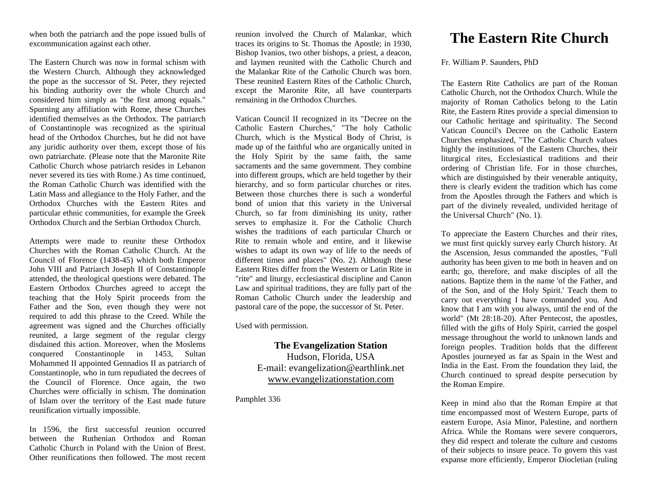when both the patriarch and the pope issued bulls of excommunication against each other.

The Eastern Church was now in formal schism with the Western Church. Although they acknowledged the pope as the successor of St. Peter, they rejected his binding authority over the whole Church and considered him simply as "the first among equals." Spurning any affiliation with Rome, these Churches identified themselves as the Orthodox. The patriarch of Constantinople was recognized as the spiritual head of the Orthodox Churches, but he did not have any juridic authority over them, except those of his own patriarchate. (Please note that the Maronite Rite Catholic Church whose patriarch resides in Lebanon never severed its ties with Rome.) As time continued, the Roman Catholic Church was identified with the Latin Mass and allegiance to the Holy Father, and the Orthodox Churches with the Eastern Rites and particular ethnic communities, for example the Greek Orthodox Church and the Serbian Orthodox Church.

Attempts were made to reunite these Orthodox Churches with the Roman Catholic Church. At the Council of Florence (1438-45) which both Emperor John VIII and Patriarch Joseph II of Constantinople attended, the theological questions were debated. The Eastern Orthodox Churches agreed to accept the teaching that the Holy Spirit proceeds from the Father and the Son, even though they were not required to add this phrase to the Creed. While the agreement was signed and the Churches officially reunited, a large segment of the regular clergy disdained this action. Moreover, when the Moslems conquered Constantinople in 1453, Sultan Mohammed II appointed Gennadios II as patriarch of Constantinople, who in turn repudiated the decrees of the Council of Florence. Once again, the two Churches were officially in schism. The domination of Islam over the territory of the East made future reunification virtually impossible.

In 1596, the first successful reunion occurred between the Ruthenian Orthodox and Roman Catholic Church in Poland with the Union of Brest. Other reunifications then followed. The most recent

reunion involved the Church of Malankar, which traces its origins to St. Thomas the Apostle; in 1930, Bishop Ivanios, two other bishops, a priest, a deacon, and laymen reunited with the Catholic Church and the Malankar Rite of the Catholic Church was born. These reunited Eastern Rites of the Catholic Church, except the Maronite Rite, all have counterparts remaining in the Orthodox Churches.

Vatican Council II recognized in its "Decree on the Catholic Eastern Churches," "The holy Catholic Church, which is the Mystical Body of Christ, is made up of the faithful who are organically united in the Holy Spirit by the same faith, the same sacraments and the same government. They combine into different groups, which are held together by their hierarchy, and so form particular churches or rites. Between those churches there is such a wonderful bond of union that this variety in the Universal Church, so far from diminishing its unity, rather serves to emphasize it. For the Catholic Church wishes the traditions of each particular Church or Rite to remain whole and entire, and it likewise wishes to adapt its own way of life to the needs of different times and places" (No. 2). Although these Eastern Rites differ from the Western or Latin Rite in "rite" and liturgy, ecclesiastical discipline and Canon Law and spiritual traditions, they are fully part of the Roman Catholic Church under the leadership and pastoral care of the pope, the successor of St. Peter.

Used with permission.

**The Evangelization Station**  Hudson, Florida, USA E-mail: evangelization@earthlink.net [www.evangelizationstation.com](http://www.pjpiisoe.org/)

Pamphlet 336

## **The Eastern Rite Church**

## Fr. William P. Saunders, PhD

The Eastern Rite Catholics are part of the Roman Catholic Church, not the Orthodox Church. While the majority of Roman Catholics belong to the Latin Rite, the Eastern Rites provide a special dimension to our Catholic heritage and spirituality. The Second Vatican Council's Decree on the Catholic Eastern Churches emphasized, "The Catholic Church values highly the institutions of the Eastern Churches, their liturgical rites, Ecclesiastical traditions and their ordering of Christian life. For in those churches, which are distinguished by their venerable antiquity, there is clearly evident the tradition which has come from the Apostles through the Fathers and which is part of the divinely revealed, undivided heritage of the Universal Church" (No. 1).

To appreciate the Eastern Churches and their rites, we must first quickly survey early Church history. At the Ascension, Jesus commanded the apostles, "Full authority has been given to me both in heaven and on earth; go, therefore, and make disciples of all the nations. Baptize them in the name 'of the Father, and of the Son, and of the Holy Spirit.' Teach them to carry out everything I have commanded you. And know that I am with you always, until the end of the world" (Mt 28:18-20). After Pentecost, the apostles, filled with the gifts of Holy Spirit, carried the gospel message throughout the world to unknown lands and foreign peoples. Tradition holds that the different Apostles journeyed as far as Spain in the West and India in the East. From the foundation they laid, the Church continued to spread despite persecution by the Roman Empire.

Keep in mind also that the Roman Empire at that time encompassed most of Western Europe, parts of eastern Europe, Asia Minor, Palestine, and northern Africa. While the Romans were severe conquerors, they did respect and tolerate the culture and customs of their subjects to insure peace. To govern this vast expanse more efficiently, Emperor Diocletian (ruling